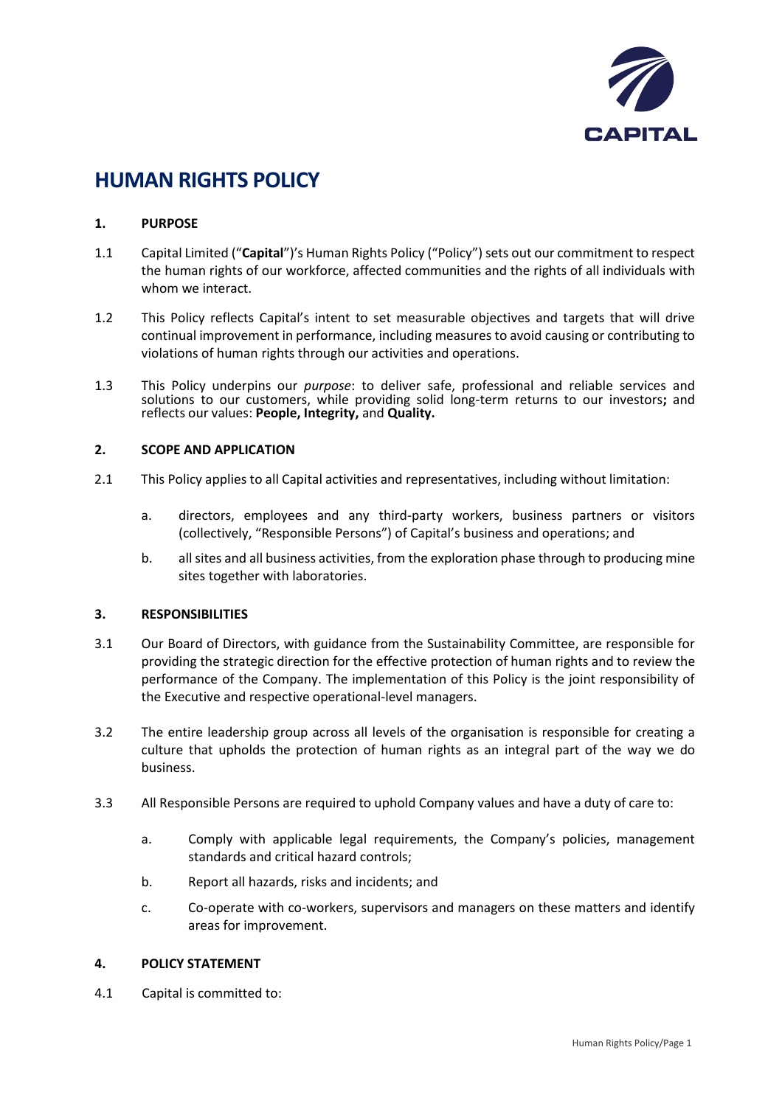

# **HUMAN RIGHTS POLICY**

#### **1. PURPOSE**

- 1.1 Capital Limited ("**Capital**")'s Human Rights Policy ("Policy") sets out our commitment to respect the human rights of our workforce, affected communities and the rights of all individuals with whom we interact.
- 1.2 This Policy reflects Capital's intent to set measurable objectives and targets that will drive continual improvement in performance, including measures to avoid causing or contributing to violations of human rights through our activities and operations.
- 1.3 This Policy underpins our *purpose*: to deliver safe, professional and reliable services and solutions to our customers, while providing solid long-term returns to our investors**;** and reflects our values: **People, Integrity,** and **Quality.**

### **2. SCOPE AND APPLICATION**

- 2.1 This Policy applies to all Capital activities and representatives, including without limitation:
	- a. directors, employees and any third-party workers, business partners or visitors (collectively, "Responsible Persons") of Capital's business and operations; and
	- b. all sites and all business activities, from the exploration phase through to producing mine sites together with laboratories.

#### **3. RESPONSIBILITIES**

- 3.1 Our Board of Directors, with guidance from the Sustainability Committee, are responsible for providing the strategic direction for the effective protection of human rights and to review the performance of the Company. The implementation of this Policy is the joint responsibility of the Executive and respective operational-level managers.
- 3.2 The entire leadership group across all levels of the organisation is responsible for creating a culture that upholds the protection of human rights as an integral part of the way we do business.
- 3.3 All Responsible Persons are required to uphold Company values and have a duty of care to:
	- a. Comply with applicable legal requirements, the Company's policies, management standards and critical hazard controls;
	- b. Report all hazards, risks and incidents; and
	- c. Co-operate with co-workers, supervisors and managers on these matters and identify areas for improvement.

#### **4. POLICY STATEMENT**

4.1 Capital is committed to: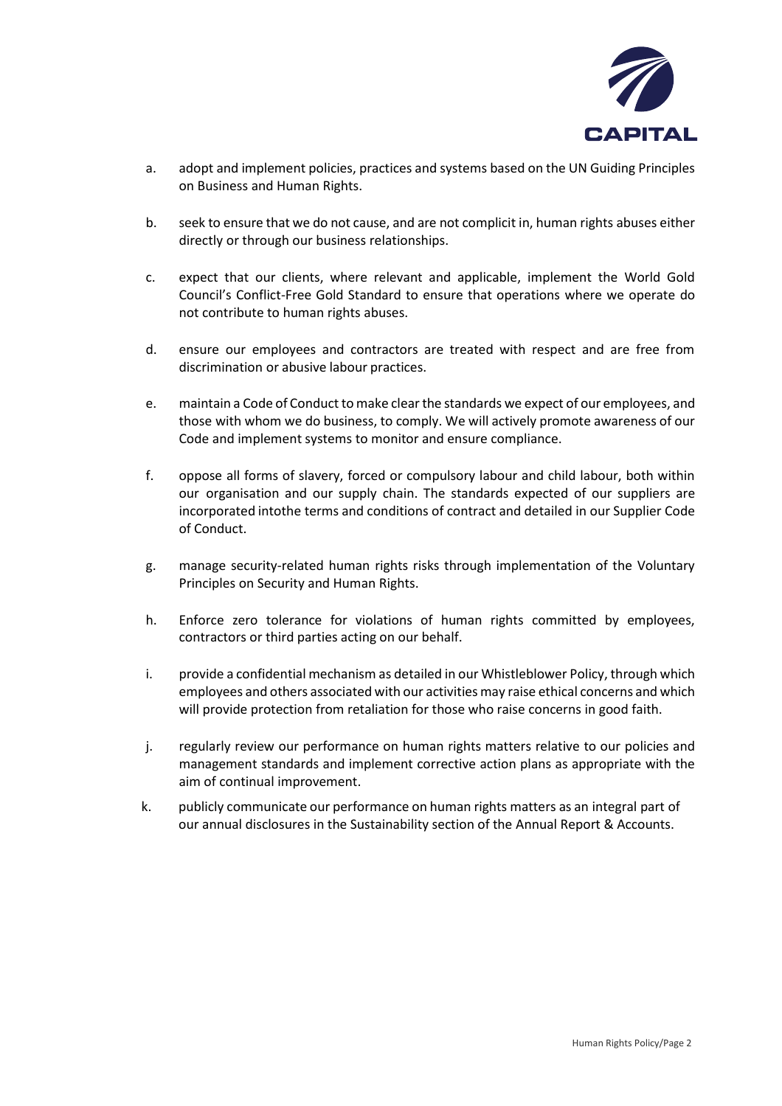

- a. adopt and implement policies, practices and systems based on the UN Guiding Principles on Business and Human Rights.
- b. seek to ensure that we do not cause, and are not complicit in, human rights abuses either directly or through our business relationships.
- c. expect that our clients, where relevant and applicable, implement the World Gold Council's Conflict-Free Gold Standard to ensure that operations where we operate do not contribute to human rights abuses.
- d. ensure our employees and contractors are treated with respect and are free from discrimination or abusive labour practices.
- e. maintain a Code of Conduct to make clear the standards we expect of our employees, and those with whom we do business, to comply. We will actively promote awareness of our Code and implement systems to monitor and ensure compliance.
- f. oppose all forms of slavery, forced or compulsory labour and child labour, both within our organisation and our supply chain. The standards expected of our suppliers are incorporated intothe terms and conditions of contract and detailed in our Supplier Code of Conduct.
- g. manage security-related human rights risks through implementation of the Voluntary Principles on Security and Human Rights.
- h. Enforce zero tolerance for violations of human rights committed by employees, contractors or third parties acting on our behalf.
- i. provide a confidential mechanism as detailed in our Whistleblower Policy, through which employees and others associated with our activities may raise ethical concerns and which will provide protection from retaliation for those who raise concerns in good faith.
- j. regularly review our performance on human rights matters relative to our policies and management standards and implement corrective action plans as appropriate with the aim of continual improvement.
- k. publicly communicate our performance on human rights matters as an integral part of our annual disclosures in the Sustainability section of the Annual Report & Accounts.